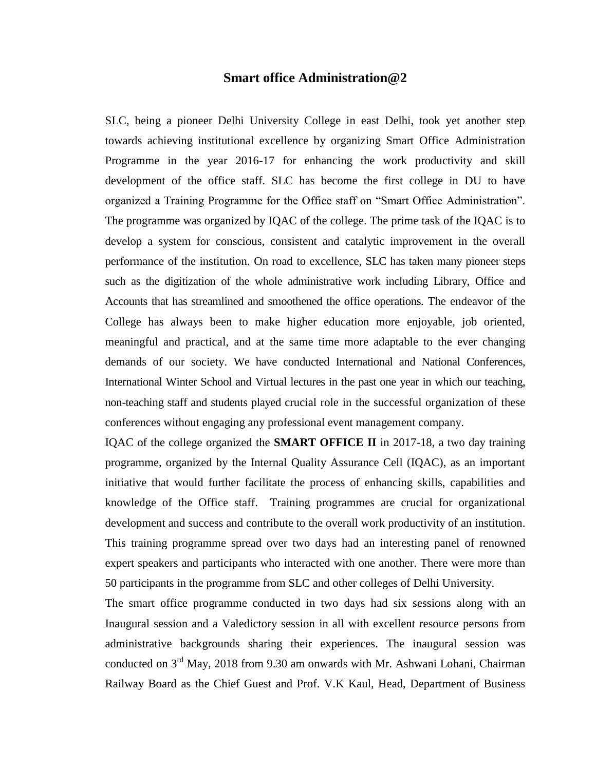### **Smart office Administration@2**

SLC, being a pioneer Delhi University College in east Delhi, took yet another step towards achieving institutional excellence by organizing Smart Office Administration Programme in the year 2016-17 for enhancing the work productivity and skill development of the office staff. SLC has become the first college in DU to have organized a Training Programme for the Office staff on "Smart Office Administration". The programme was organized by IQAC of the college. The prime task of the IQAC is to develop a system for conscious, consistent and catalytic improvement in the overall performance of the institution. On road to excellence, SLC has taken many pioneer steps such as the digitization of the whole administrative work including Library, Office and Accounts that has streamlined and smoothened the office operations. The endeavor of the College has always been to make higher education more enjoyable, job oriented, meaningful and practical, and at the same time more adaptable to the ever changing demands of our society. We have conducted International and National Conferences, International Winter School and Virtual lectures in the past one year in which our teaching, non-teaching staff and students played crucial role in the successful organization of these conferences without engaging any professional event management company.

IQAC of the college organized the **SMART OFFICE II** in 2017-18, a two day training programme, organized by the Internal Quality Assurance Cell (IQAC), as an important initiative that would further facilitate the process of enhancing skills, capabilities and knowledge of the Office staff. Training programmes are crucial for organizational development and success and contribute to the overall work productivity of an institution. This training programme spread over two days had an interesting panel of renowned expert speakers and participants who interacted with one another. There were more than 50 participants in the programme from SLC and other colleges of Delhi University.

The smart office programme conducted in two days had six sessions along with an Inaugural session and a Valedictory session in all with excellent resource persons from administrative backgrounds sharing their experiences. The inaugural session was conducted on 3rd May, 2018 from 9.30 am onwards with Mr. Ashwani Lohani, Chairman Railway Board as the Chief Guest and Prof. V.K Kaul, Head, Department of Business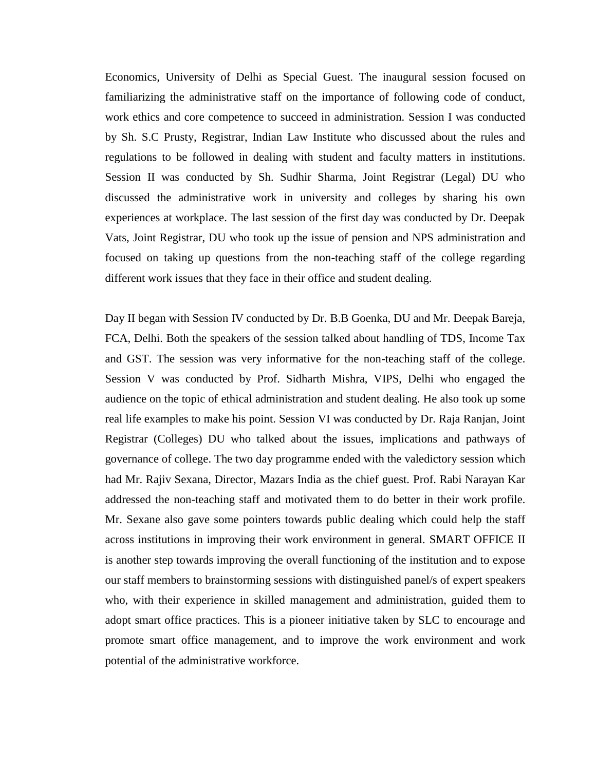Economics, University of Delhi as Special Guest. The inaugural session focused on familiarizing the administrative staff on the importance of following code of conduct, work ethics and core competence to succeed in administration. Session I was conducted by Sh. S.C Prusty, Registrar, Indian Law Institute who discussed about the rules and regulations to be followed in dealing with student and faculty matters in institutions. Session II was conducted by Sh. Sudhir Sharma, Joint Registrar (Legal) DU who discussed the administrative work in university and colleges by sharing his own experiences at workplace. The last session of the first day was conducted by Dr. Deepak Vats, Joint Registrar, DU who took up the issue of pension and NPS administration and focused on taking up questions from the non-teaching staff of the college regarding different work issues that they face in their office and student dealing.

Day II began with Session IV conducted by Dr. B.B Goenka, DU and Mr. Deepak Bareja, FCA, Delhi. Both the speakers of the session talked about handling of TDS, Income Tax and GST. The session was very informative for the non-teaching staff of the college. Session V was conducted by Prof. Sidharth Mishra, VIPS, Delhi who engaged the audience on the topic of ethical administration and student dealing. He also took up some real life examples to make his point. Session VI was conducted by Dr. Raja Ranjan, Joint Registrar (Colleges) DU who talked about the issues, implications and pathways of governance of college. The two day programme ended with the valedictory session which had Mr. Rajiv Sexana, Director, Mazars India as the chief guest. Prof. Rabi Narayan Kar addressed the non-teaching staff and motivated them to do better in their work profile. Mr. Sexane also gave some pointers towards public dealing which could help the staff across institutions in improving their work environment in general. SMART OFFICE II is another step towards improving the overall functioning of the institution and to expose our staff members to brainstorming sessions with distinguished panel/s of expert speakers who, with their experience in skilled management and administration, guided them to adopt smart office practices. This is a pioneer initiative taken by SLC to encourage and promote smart office management, and to improve the work environment and work potential of the administrative workforce.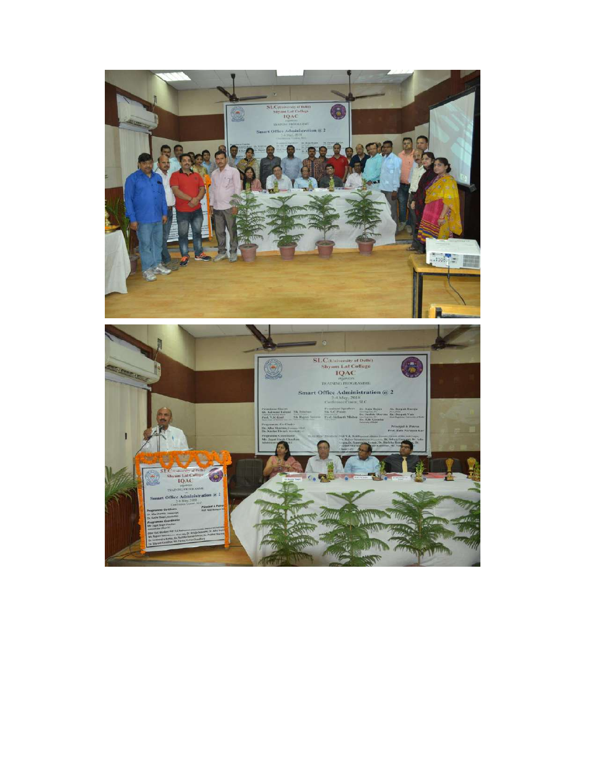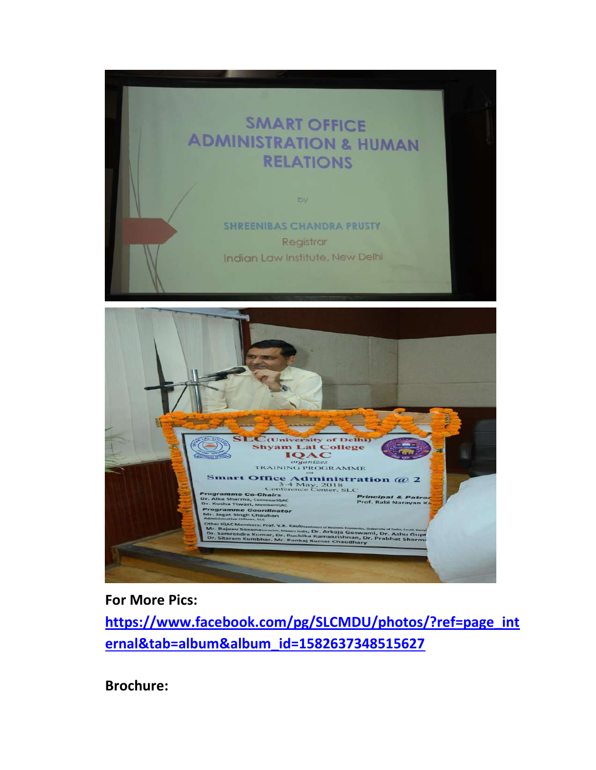

**For More Pics:**

**[https://www.facebook.com/pg/SLCMDU/photos/?ref=page\\_int](https://www.facebook.com/pg/SLCMDU/photos/?ref=page_internal&tab=album&album_id=1582637348515627) [ernal&tab=album&album\\_id=1582637348515627](https://www.facebook.com/pg/SLCMDU/photos/?ref=page_internal&tab=album&album_id=1582637348515627)**

**Brochure:**